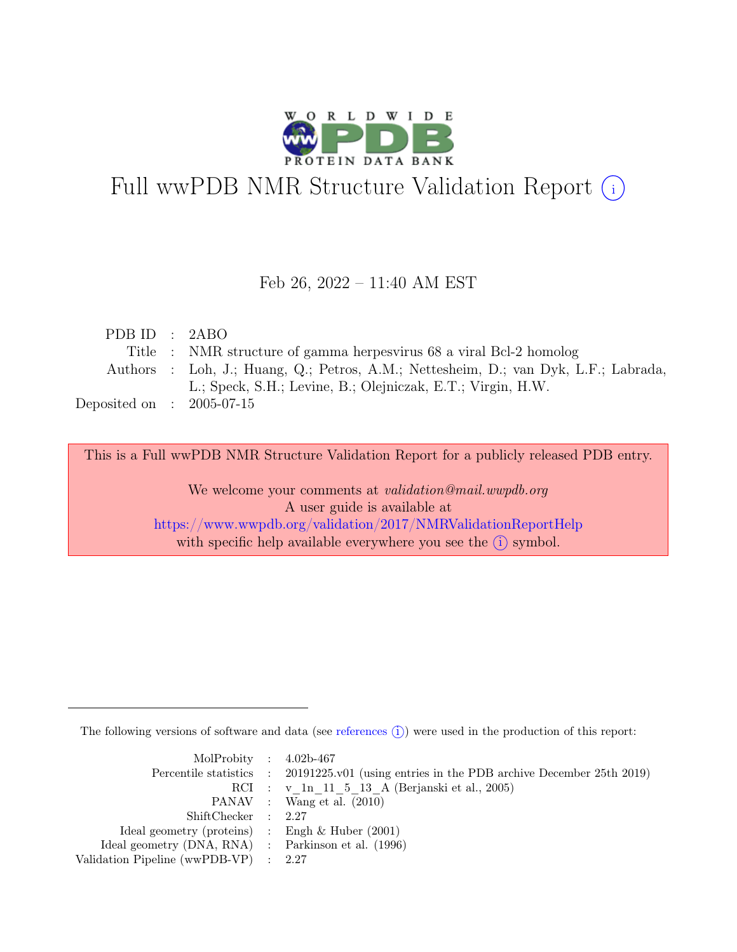

# Full wwPDB NMR Structure Validation Report (i)

### Feb 26, 2022 – 11:40 AM EST

| PDB ID : $2ABO$             |                                                                                     |
|-----------------------------|-------------------------------------------------------------------------------------|
|                             | Title : NMR structure of gamma herpesvirus 68 a viral Bcl-2 homolog                 |
|                             | Authors : Loh, J.; Huang, Q.; Petros, A.M.; Nettesheim, D.; van Dyk, L.F.; Labrada, |
|                             | L.; Speck, S.H.; Levine, B.; Olejniczak, E.T.; Virgin, H.W.                         |
| Deposited on : $2005-07-15$ |                                                                                     |

This is a Full wwPDB NMR Structure Validation Report for a publicly released PDB entry.

We welcome your comments at *validation@mail.wwpdb.org* A user guide is available at <https://www.wwpdb.org/validation/2017/NMRValidationReportHelp> with specific help available everywhere you see the  $(i)$  symbol.

The following versions of software and data (see [references](https://www.wwpdb.org/validation/2017/NMRValidationReportHelp#references)  $\hat{I}$ ) were used in the production of this report:

| MolProbity : $4.02b-467$                            |                                                                                            |
|-----------------------------------------------------|--------------------------------------------------------------------------------------------|
|                                                     | Percentile statistics : 20191225.v01 (using entries in the PDB archive December 25th 2019) |
|                                                     | RCI : v 1n 11 5 13 A (Berjanski et al., 2005)                                              |
|                                                     | PANAV : Wang et al. (2010)                                                                 |
| ShiftChecker : 2.27                                 |                                                                                            |
| Ideal geometry (proteins) : Engh $\&$ Huber (2001)  |                                                                                            |
| Ideal geometry (DNA, RNA) : Parkinson et al. (1996) |                                                                                            |
| Validation Pipeline (wwPDB-VP) : 2.27               |                                                                                            |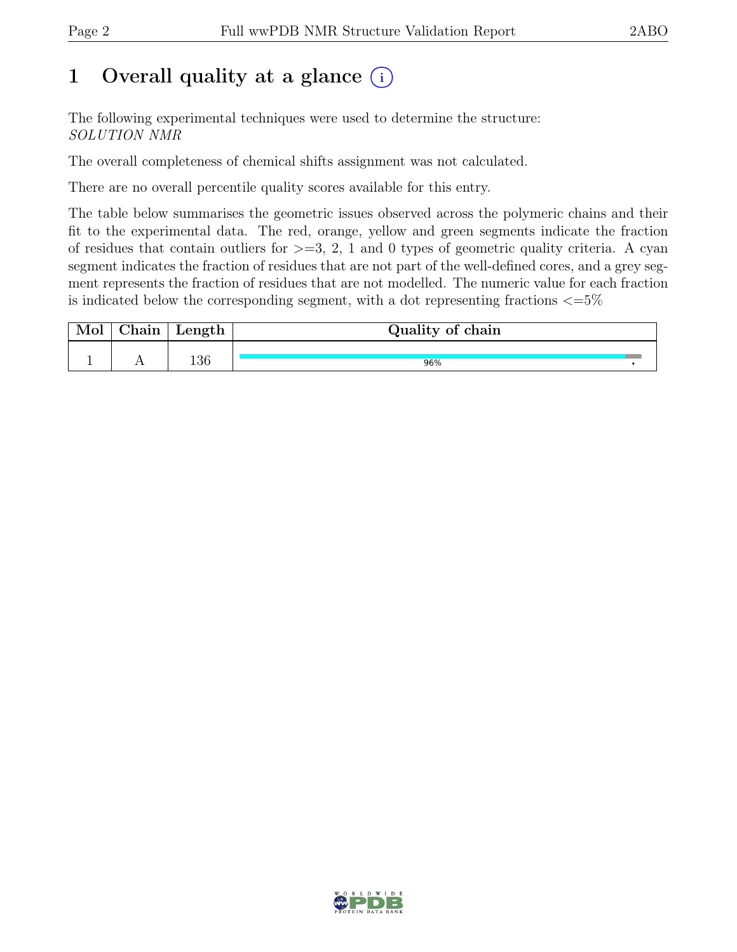## 1 Overall quality at a glance  $(i)$

The following experimental techniques were used to determine the structure: SOLUTION NMR

The overall completeness of chemical shifts assignment was not calculated.

There are no overall percentile quality scores available for this entry.

The table below summarises the geometric issues observed across the polymeric chains and their fit to the experimental data. The red, orange, yellow and green segments indicate the fraction of residues that contain outliers for  $\geq$ =3, 2, 1 and 0 types of geometric quality criteria. A cyan segment indicates the fraction of residues that are not part of the well-defined cores, and a grey segment represents the fraction of residues that are not modelled. The numeric value for each fraction is indicated below the corresponding segment, with a dot representing fractions  $\epsilon = 5\%$ 

| Mol | $\sim$ $\sim$<br>hain: | Length | Quality of chain |  |
|-----|------------------------|--------|------------------|--|
|     |                        |        |                  |  |
|     |                        | 136    | 96%              |  |

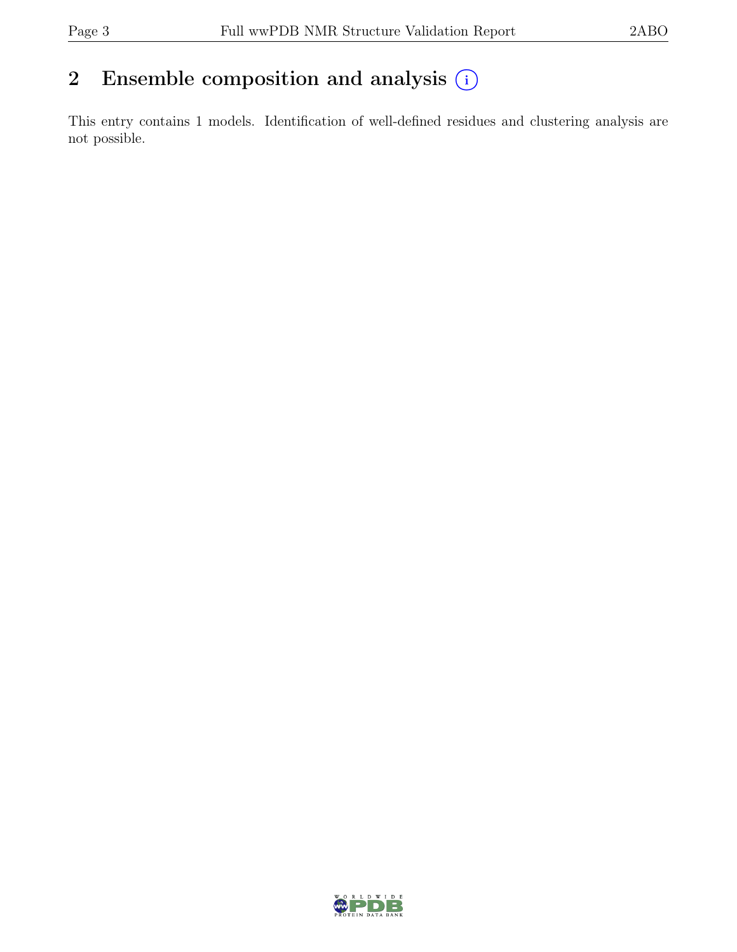## 2 Ensemble composition and analysis  $(i)$

This entry contains 1 models. Identification of well-defined residues and clustering analysis are not possible.

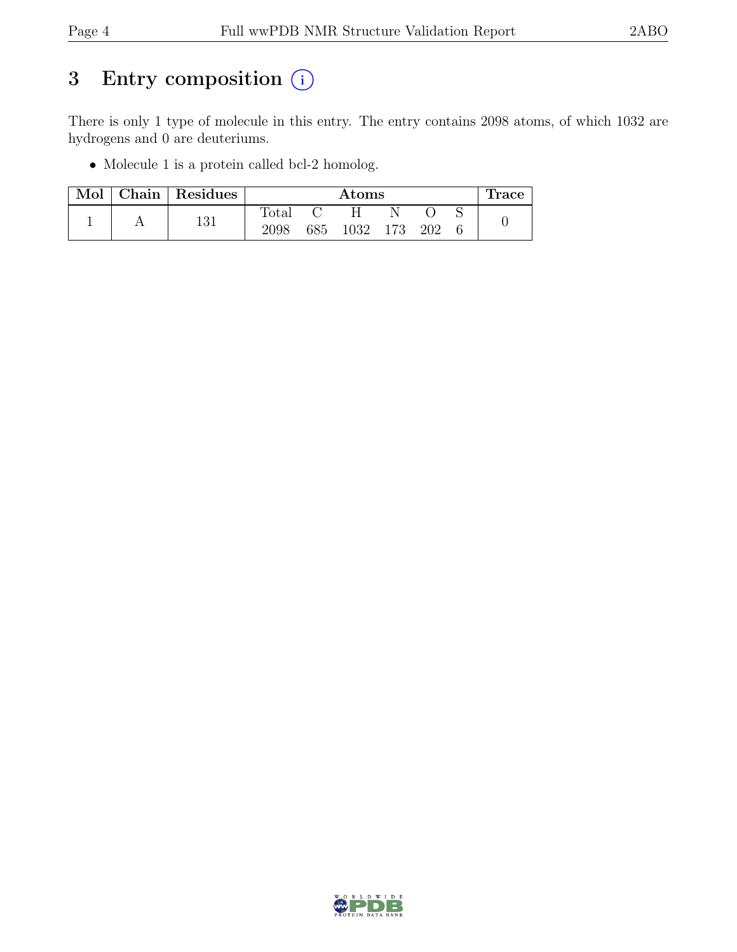## 3 Entry composition  $(i)$

There is only 1 type of molecule in this entry. The entry contains 2098 atoms, of which 1032 are hydrogens and 0 are deuteriums.

• Molecule 1 is a protein called bcl-2 homolog.

| Mol | Chain   Residues | $\rm{Atoms}$   |     |      |      |     |  | Trace. |
|-----|------------------|----------------|-----|------|------|-----|--|--------|
|     |                  | $\text{Total}$ |     |      |      |     |  |        |
|     | 131              | 2098           | 685 | 1032 | 173. | 202 |  |        |

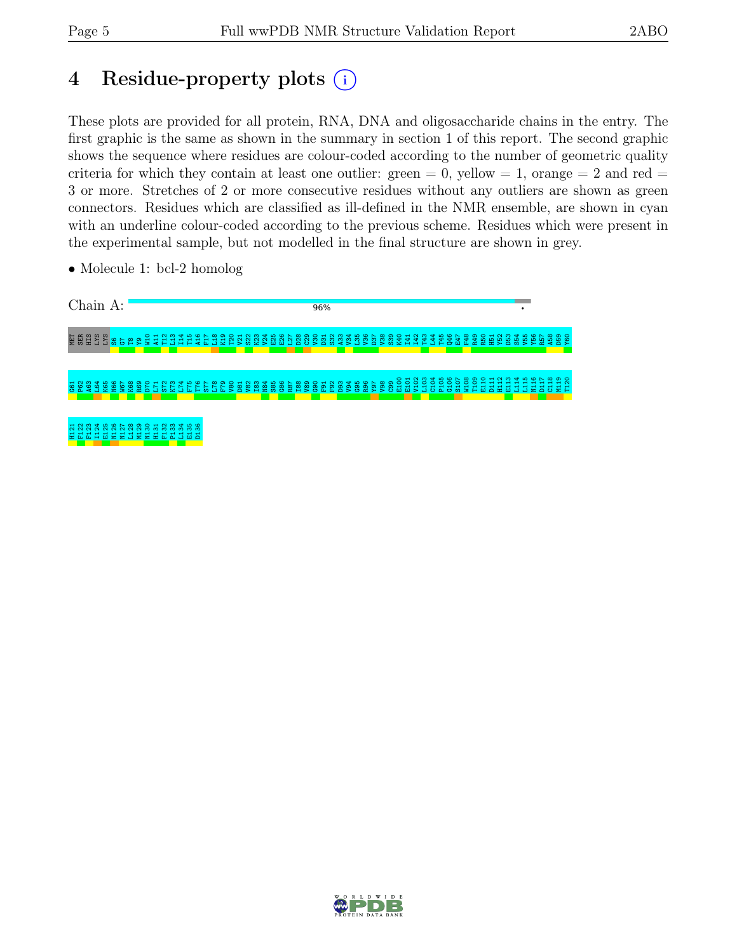## 4 Residue-property plots (i)

These plots are provided for all protein, RNA, DNA and oligosaccharide chains in the entry. The first graphic is the same as shown in the summary in section 1 of this report. The second graphic shows the sequence where residues are colour-coded according to the number of geometric quality criteria for which they contain at least one outlier: green  $= 0$ , yellow  $= 1$ , orange  $= 2$  and red  $=$ 3 or more. Stretches of 2 or more consecutive residues without any outliers are shown as green connectors. Residues which are classified as ill-defined in the NMR ensemble, are shown in cyan with an underline colour-coded according to the previous scheme. Residues which were present in the experimental sample, but not modelled in the final structure are shown in grey.



• Molecule 1: bcl-2 homolog

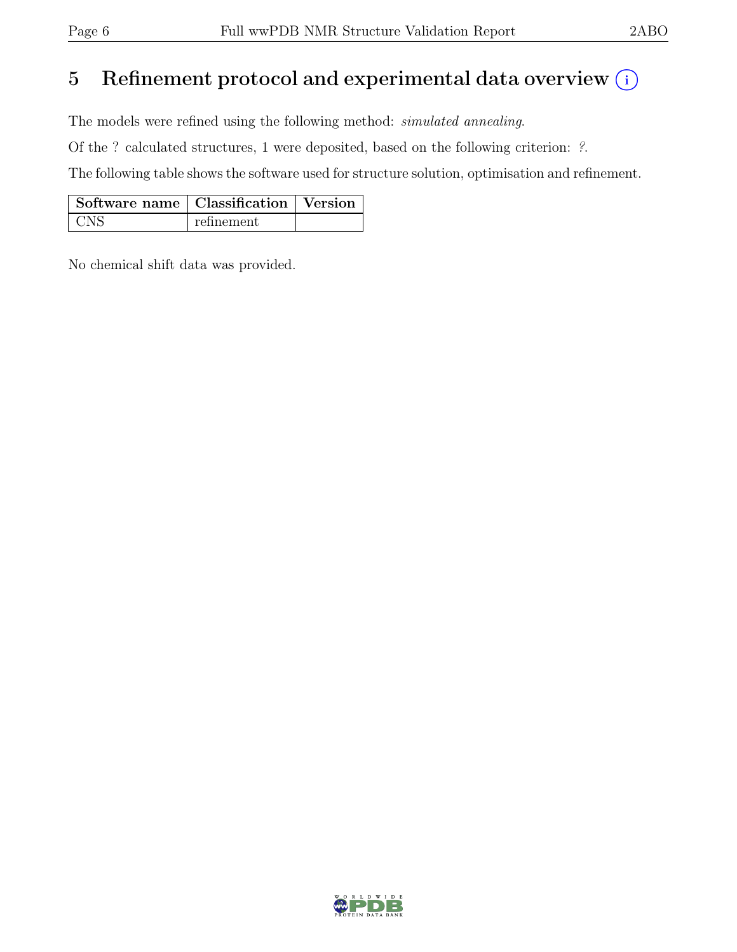## 5 Refinement protocol and experimental data overview  $\binom{1}{k}$

The models were refined using the following method: simulated annealing.

Of the ? calculated structures, 1 were deposited, based on the following criterion: ?.

The following table shows the software used for structure solution, optimisation and refinement.

| Software name   Classification   Version |            |  |
|------------------------------------------|------------|--|
|                                          | refinement |  |

No chemical shift data was provided.

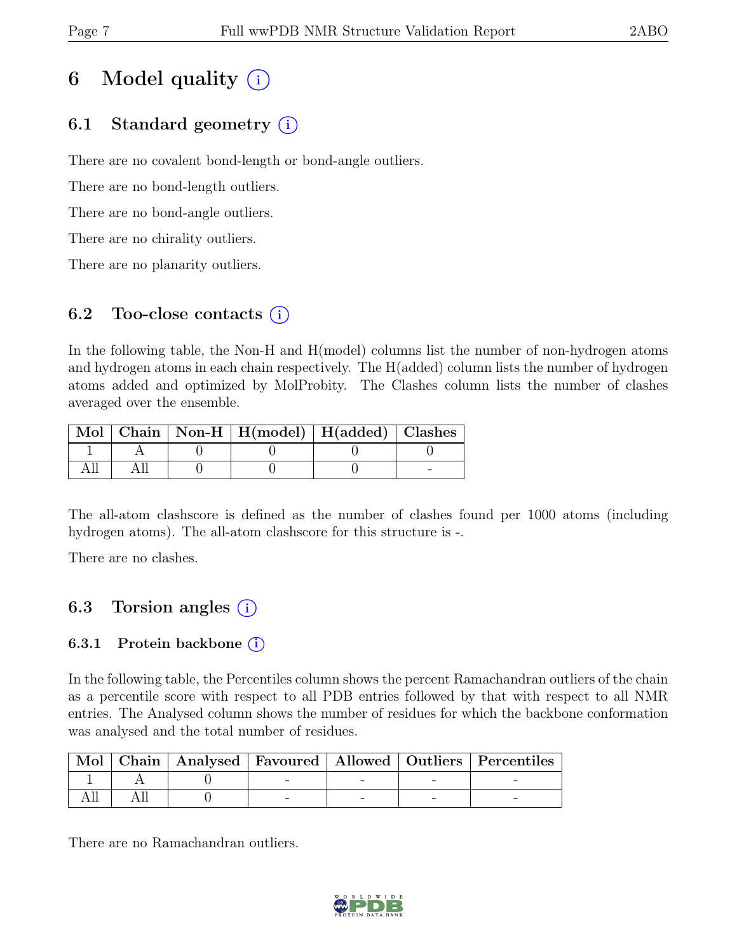## 6 Model quality  $(i)$

### 6.1 Standard geometry (i)

There are no covalent bond-length or bond-angle outliers.

There are no bond-length outliers.

There are no bond-angle outliers.

There are no chirality outliers.

There are no planarity outliers.

### 6.2 Too-close contacts  $(i)$

In the following table, the Non-H and H(model) columns list the number of non-hydrogen atoms and hydrogen atoms in each chain respectively. The H(added) column lists the number of hydrogen atoms added and optimized by MolProbity. The Clashes column lists the number of clashes averaged over the ensemble.

|  | Mol   Chain   Non-H   H(model)   H(added)   Clashes |  |
|--|-----------------------------------------------------|--|
|  |                                                     |  |
|  |                                                     |  |

The all-atom clashscore is defined as the number of clashes found per 1000 atoms (including hydrogen atoms). The all-atom clashscore for this structure is -.

There are no clashes.

### 6.3 Torsion angles  $(i)$

### 6.3.1 Protein backbone  $(i)$

In the following table, the Percentiles column shows the percent Ramachandran outliers of the chain as a percentile score with respect to all PDB entries followed by that with respect to all NMR entries. The Analysed column shows the number of residues for which the backbone conformation was analysed and the total number of residues.

|  |  |  | Mol   Chain   Analysed   Favoured   Allowed   Outliers   Percentiles |
|--|--|--|----------------------------------------------------------------------|
|  |  |  |                                                                      |
|  |  |  |                                                                      |

There are no Ramachandran outliers.

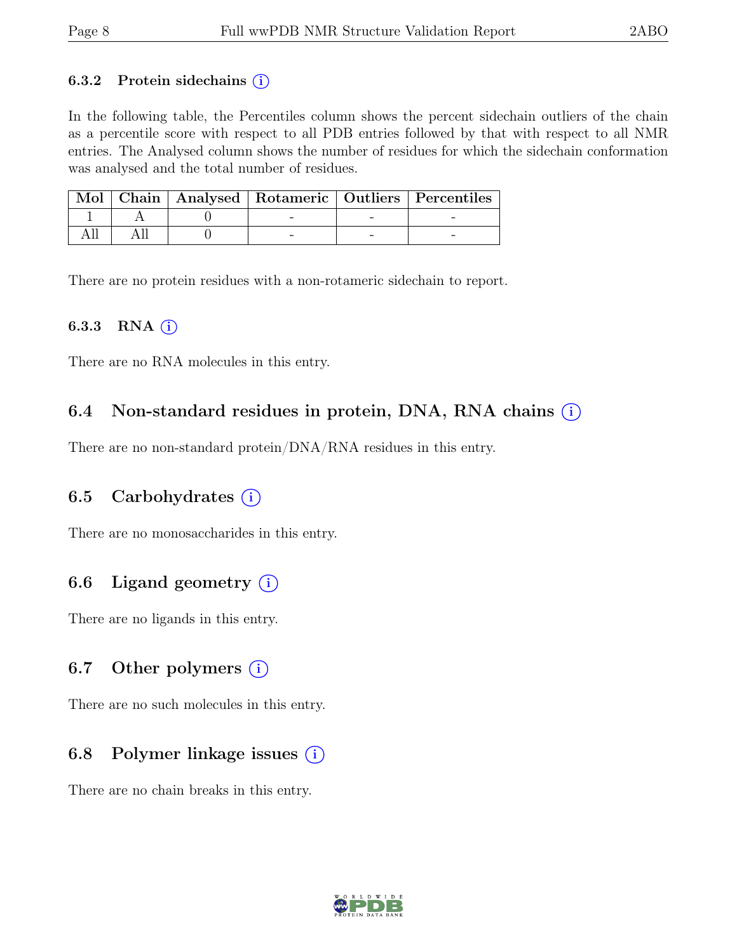#### 6.3.2 Protein sidechains  $(i)$

In the following table, the Percentiles column shows the percent sidechain outliers of the chain as a percentile score with respect to all PDB entries followed by that with respect to all NMR entries. The Analysed column shows the number of residues for which the sidechain conformation was analysed and the total number of residues.

|  |  | Mol   Chain   Analysed   Rotameric   Outliers   Percentiles |
|--|--|-------------------------------------------------------------|
|  |  |                                                             |
|  |  |                                                             |

There are no protein residues with a non-rotameric sidechain to report.

#### 6.3.3 RNA  $(i)$

There are no RNA molecules in this entry.

### 6.4 Non-standard residues in protein, DNA, RNA chains  $(i)$

There are no non-standard protein/DNA/RNA residues in this entry.

### 6.5 Carbohydrates  $(i)$

There are no monosaccharides in this entry.

### 6.6 Ligand geometry  $(i)$

There are no ligands in this entry.

#### 6.7 Other polymers  $(i)$

There are no such molecules in this entry.

### 6.8 Polymer linkage issues  $(i)$

There are no chain breaks in this entry.